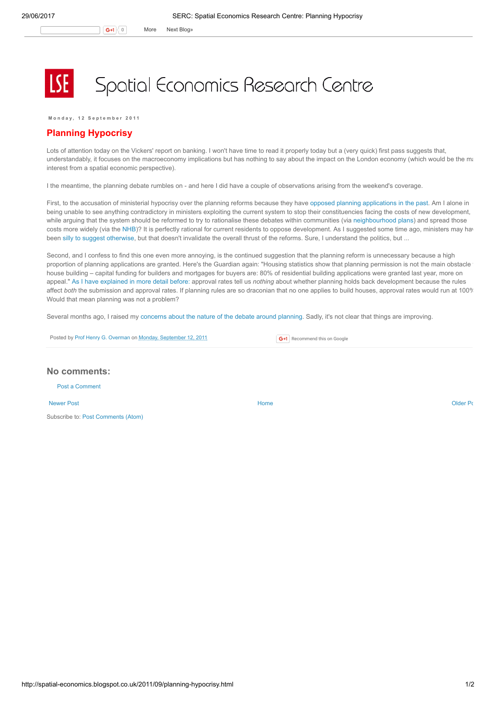Monday, 12 September 2011

## Planning Hypocrisy

Lots of attention today on the Vickers' report on banking. I won't have time to read it properly today but a (very quick) first pass suggests that, understandably, it focuses on the macroeconomy implications but has nothing to say about the impact on the London economy (which would be the mainder state main interest from a spatial economic perspective).

I the meantime, the planning debate rumbles on - and here I did have a couple of observations arising from the weekend's coverage.

First, to the accusation of ministerial hypocrisy over the planning reforms because they have opposed planning [applications](http://www.guardian.co.uk/politics/2011/sep/09/ministers-hypocrisy-over-planning-regulations) in the past. Am I alone in being unable to see anything contradictory in ministers exploiting the current system to stop their constituencies facing the costs of new development, while arguing that the system should be reformed to try to rationalise these debates within communities (via [neighbourhood](http://spatial-economics.blogspot.com/2011/04/planning-localism-versus-growth.html) plans) and spread those costs more widely (via the [NHB](http://spatial-economics.blogspot.com/2010/08/new-home-bonus.html))? It is perfectly rational for current residents to oppose development. As I suggested some time ago, ministers may have been silly to suggest [otherwise,](http://spatial-economics.blogspot.com/2010/08/who-benefits-from-new-housing.html) but that doesn't invalidate the overall thrust of the reforms. Sure, I understand the politics, but ...

Second, and I confess to find this one even more annoying, is the continued suggestion that the planning reform is unnecessary because a high proportion of planning applications are granted. Here's the Guardian again: "Housing statistics show that planning permission is not the main obstacle house building – capital funding for builders and mortgages for buyers are: 80% of residential building applications were granted last year, more on appeal." As I have [explained](http://spatial-economics.blogspot.com/2011/04/planning-permission-granted.html) in more detail before: approval rates tell us nothing about whether planning holds back development because the rules affect both the submission and approval rates. If planning rules are so draconian that no one applies to build houses, approval rates would run at 100% Would that mean planning was not a problem?

Several months ago, I raised my [concerns](http://spatial-economics.blogspot.com/2011/03/planning-reforms-serious-debate-needed.html) about the nature of the debate around planning. Sadly, it's not clear that things are improving.

Posted by Prof Henry G. [Overman](https://www.blogger.com/profile/15203876610491317062) on Monday, [September](http://spatial-economics.blogspot.co.uk/2011/09/planning-hypocrisy.html) 12, 2011

**G+1** Recommend this on Google

## No comments:

Post a [Comment](https://www.blogger.com/comment.g?blogID=974562301377041914&postID=4358926639278877104)

[Newer](http://spatial-economics.blogspot.co.uk/2011/09/road-to-recovery-what-can-government-do.html) Post **New Account Contract Account Contract Account Contract Account Contract Account Contract [Older](http://spatial-economics.blogspot.co.uk/2011/09/youve-been-trumped.html) Post** Subscribe to: Post [Comments](http://spatial-economics.blogspot.com/feeds/4358926639278877104/comments/default) (Atom)